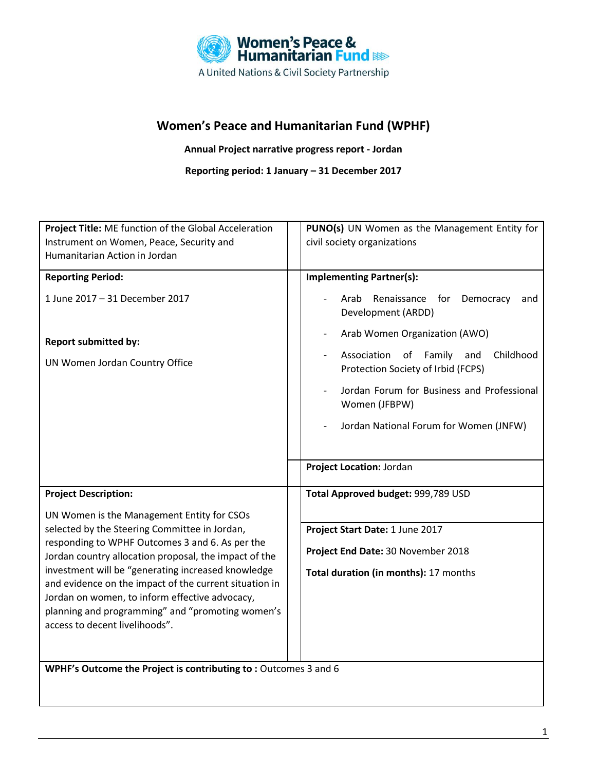

# **Women's Peace and Humanitarian Fund (WPHF)**

**Annual Project narrative progress report - Jordan**

**Reporting period: 1 January – 31 December 2017**

| Project Title: ME function of the Global Acceleration                                                    | PUNO(s) UN Women as the Management Entity for                                                                  |
|----------------------------------------------------------------------------------------------------------|----------------------------------------------------------------------------------------------------------------|
| Instrument on Women, Peace, Security and                                                                 | civil society organizations                                                                                    |
| Humanitarian Action in Jordan                                                                            |                                                                                                                |
| <b>Reporting Period:</b>                                                                                 | <b>Implementing Partner(s):</b>                                                                                |
|                                                                                                          |                                                                                                                |
| 1 June 2017 - 31 December 2017                                                                           | Renaissance for<br>Arab<br>Democracy<br>and<br>Development (ARDD)                                              |
| <b>Report submitted by:</b>                                                                              | Arab Women Organization (AWO)                                                                                  |
| UN Women Jordan Country Office                                                                           | Association<br>of Family<br>Childhood<br>and<br>$\overline{\phantom{a}}$<br>Protection Society of Irbid (FCPS) |
|                                                                                                          | Jordan Forum for Business and Professional<br>Women (JFBPW)                                                    |
|                                                                                                          | Jordan National Forum for Women (JNFW)                                                                         |
|                                                                                                          | Project Location: Jordan                                                                                       |
|                                                                                                          |                                                                                                                |
| <b>Project Description:</b>                                                                              | Total Approved budget: 999,789 USD                                                                             |
| UN Women is the Management Entity for CSOs                                                               |                                                                                                                |
| selected by the Steering Committee in Jordan,                                                            | Project Start Date: 1 June 2017                                                                                |
| responding to WPHF Outcomes 3 and 6. As per the<br>Jordan country allocation proposal, the impact of the | Project End Date: 30 November 2018                                                                             |
| investment will be "generating increased knowledge                                                       | Total duration (in months): 17 months                                                                          |
| and evidence on the impact of the current situation in<br>Jordan on women, to inform effective advocacy, |                                                                                                                |
| planning and programming" and "promoting women's                                                         |                                                                                                                |
| access to decent livelihoods".                                                                           |                                                                                                                |
|                                                                                                          |                                                                                                                |
|                                                                                                          |                                                                                                                |
| WPHF's Outcome the Project is contributing to: Outcomes 3 and 6                                          |                                                                                                                |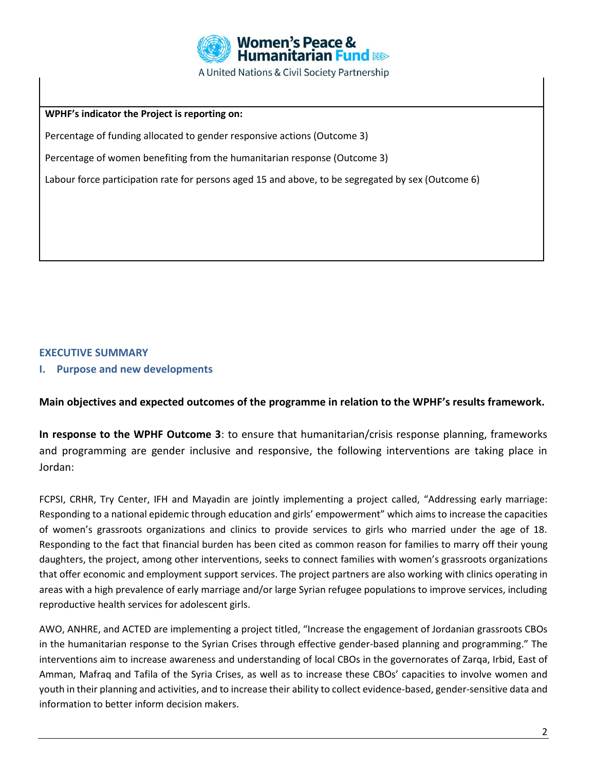

**WPHF's indicator the Project is reporting on:**

Percentage of funding allocated to gender responsive actions (Outcome 3)

Percentage of women benefiting from the humanitarian response (Outcome 3)

Labour force participation rate for persons aged 15 and above, to be segregated by sex (Outcome 6)

### **EXECUTIVE SUMMARY**

**I. Purpose and new developments**

**Main objectives and expected outcomes of the programme in relation to the WPHF's results framework.**

**In response to the WPHF Outcome 3**: to ensure that humanitarian/crisis response planning, frameworks and programming are gender inclusive and responsive, the following interventions are taking place in Jordan:

FCPSI, CRHR, Try Center, IFH and Mayadin are jointly implementing a project called, "Addressing early marriage: Responding to a national epidemic through education and girls' empowerment" which aims to increase the capacities of women's grassroots organizations and clinics to provide services to girls who married under the age of 18. Responding to the fact that financial burden has been cited as common reason for families to marry off their young daughters, the project, among other interventions, seeks to connect families with women's grassroots organizations that offer economic and employment support services. The project partners are also working with clinics operating in areas with a high prevalence of early marriage and/or large Syrian refugee populations to improve services, including reproductive health services for adolescent girls.

AWO, ANHRE, and ACTED are implementing a project titled, "Increase the engagement of Jordanian grassroots CBOs in the humanitarian response to the Syrian Crises through effective gender-based planning and programming." The interventions aim to increase awareness and understanding of local CBOs in the governorates of Zarqa, Irbid, East of Amman, Mafraq and Tafila of the Syria Crises, as well as to increase these CBOs' capacities to involve women and youth in their planning and activities, and to increase their ability to collect evidence-based, gender-sensitive data and information to better inform decision makers.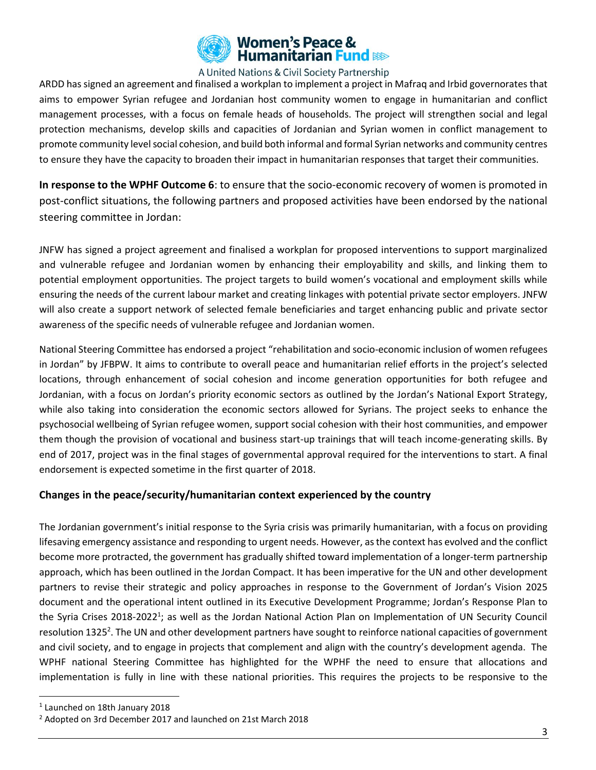

ARDD has signed an agreement and finalised a workplan to implement a project in Mafraq and Irbid governorates that aims to empower Syrian refugee and Jordanian host community women to engage in humanitarian and conflict management processes, with a focus on female heads of households. The project will strengthen social and legal protection mechanisms, develop skills and capacities of Jordanian and Syrian women in conflict management to promote community level social cohesion, and build both informal and formal Syrian networks and community centres to ensure they have the capacity to broaden their impact in humanitarian responses that target their communities.

**In response to the WPHF Outcome 6**: to ensure that the socio-economic recovery of women is promoted in post-conflict situations, the following partners and proposed activities have been endorsed by the national steering committee in Jordan:

JNFW has signed a project agreement and finalised a workplan for proposed interventions to support marginalized and vulnerable refugee and Jordanian women by enhancing their employability and skills, and linking them to potential employment opportunities. The project targets to build women's vocational and employment skills while ensuring the needs of the current labour market and creating linkages with potential private sector employers. JNFW will also create a support network of selected female beneficiaries and target enhancing public and private sector awareness of the specific needs of vulnerable refugee and Jordanian women.

National Steering Committee has endorsed a project "rehabilitation and socio-economic inclusion of women refugees in Jordan" by JFBPW. It aims to contribute to overall peace and humanitarian relief efforts in the project's selected locations, through enhancement of social cohesion and income generation opportunities for both refugee and Jordanian, with a focus on Jordan's priority economic sectors as outlined by the Jordan's National Export Strategy, while also taking into consideration the economic sectors allowed for Syrians. The project seeks to enhance the psychosocial wellbeing of Syrian refugee women, support social cohesion with their host communities, and empower them though the provision of vocational and business start-up trainings that will teach income-generating skills. By end of 2017, project was in the final stages of governmental approval required for the interventions to start. A final endorsement is expected sometime in the first quarter of 2018.

### **Changes in the peace/security/humanitarian context experienced by the country**

The Jordanian government's initial response to the Syria crisis was primarily humanitarian, with a focus on providing lifesaving emergency assistance and responding to urgent needs. However, as the context has evolved and the conflict become more protracted, the government has gradually shifted toward implementation of a longer-term partnership approach, which has been outlined in the Jordan Compact. It has been imperative for the UN and other development partners to revise their strategic and policy approaches in response to the Government of Jordan's Vision 2025 document and the operational intent outlined in its Executive Development Programme; Jordan's Response Plan to the Syria Crises 2018-2022<sup>1</sup>; as well as the Jordan National Action Plan on Implementation of UN Security Council resolution 1325<sup>2</sup>. The UN and other development partners have sought to reinforce national capacities of government and civil society, and to engage in projects that complement and align with the country's development agenda. The WPHF national Steering Committee has highlighted for the WPHF the need to ensure that allocations and implementation is fully in line with these national priorities. This requires the projects to be responsive to the

 $\overline{a}$ 

<sup>1</sup> Launched on 18th January 2018

<sup>&</sup>lt;sup>2</sup> Adopted on 3rd December 2017 and launched on 21st March 2018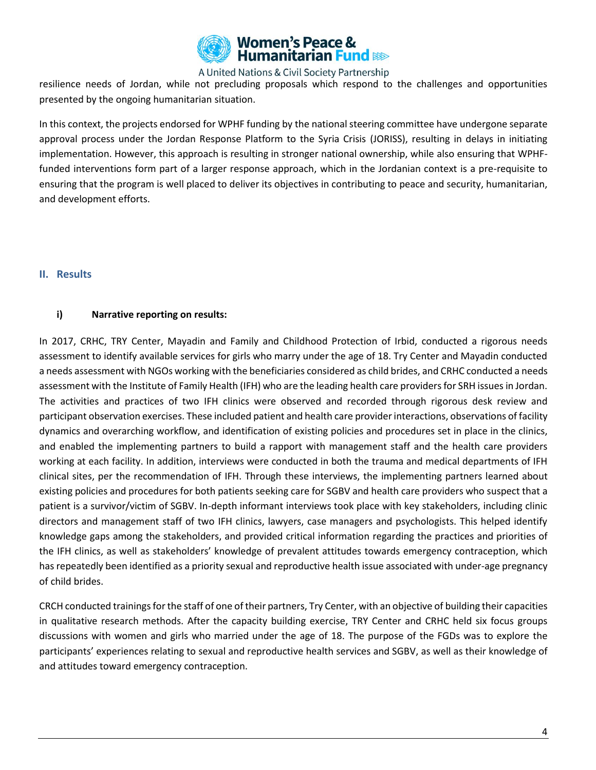

resilience needs of Jordan, while not precluding proposals which respond to the challenges and opportunities presented by the ongoing humanitarian situation.

In this context, the projects endorsed for WPHF funding by the national steering committee have undergone separate approval process under the Jordan Response Platform to the Syria Crisis (JORISS), resulting in delays in initiating implementation. However, this approach is resulting in stronger national ownership, while also ensuring that WPHFfunded interventions form part of a larger response approach, which in the Jordanian context is a pre-requisite to ensuring that the program is well placed to deliver its objectives in contributing to peace and security, humanitarian, and development efforts.

#### **II. Results**

### **i) Narrative reporting on results:**

In 2017, CRHC, TRY Center, Mayadin and Family and Childhood Protection of Irbid, conducted a rigorous needs assessment to identify available services for girls who marry under the age of 18. Try Center and Mayadin conducted a needs assessment with NGOs working with the beneficiaries considered as child brides, and CRHC conducted a needs assessment with the Institute of Family Health (IFH) who are the leading health care providers for SRH issues in Jordan. The activities and practices of two IFH clinics were observed and recorded through rigorous desk review and participant observation exercises. These included patient and health care provider interactions, observations of facility dynamics and overarching workflow, and identification of existing policies and procedures set in place in the clinics, and enabled the implementing partners to build a rapport with management staff and the health care providers working at each facility. In addition, interviews were conducted in both the trauma and medical departments of IFH clinical sites, per the recommendation of IFH. Through these interviews, the implementing partners learned about existing policies and procedures for both patients seeking care for SGBV and health care providers who suspect that a patient is a survivor/victim of SGBV. In-depth informant interviews took place with key stakeholders, including clinic directors and management staff of two IFH clinics, lawyers, case managers and psychologists. This helped identify knowledge gaps among the stakeholders, and provided critical information regarding the practices and priorities of the IFH clinics, as well as stakeholders' knowledge of prevalent attitudes towards emergency contraception, which has repeatedly been identified as a priority sexual and reproductive health issue associated with under-age pregnancy of child brides.

CRCH conducted trainings forthe staff of one of their partners, Try Center, with an objective of building their capacities in qualitative research methods. After the capacity building exercise, TRY Center and CRHC held six focus groups discussions with women and girls who married under the age of 18. The purpose of the FGDs was to explore the participants' experiences relating to sexual and reproductive health services and SGBV, as well as their knowledge of and attitudes toward emergency contraception.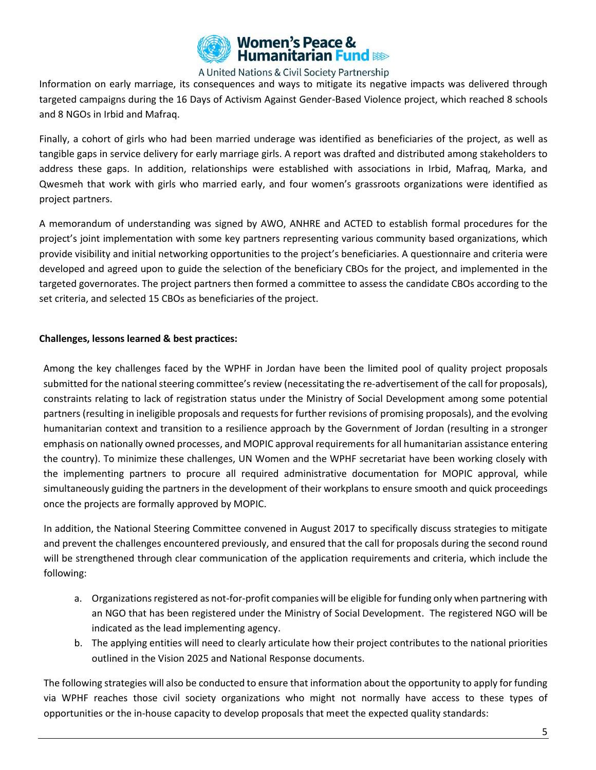

Information on early marriage, its consequences and ways to mitigate its negative impacts was delivered through targeted campaigns during the 16 Days of Activism Against Gender-Based Violence project, which reached 8 schools and 8 NGOs in Irbid and Mafraq.

Finally, a cohort of girls who had been married underage was identified as beneficiaries of the project, as well as tangible gaps in service delivery for early marriage girls. A report was drafted and distributed among stakeholders to address these gaps. In addition, relationships were established with associations in Irbid, Mafraq, Marka, and Qwesmeh that work with girls who married early, and four women's grassroots organizations were identified as project partners.

A memorandum of understanding was signed by AWO, ANHRE and ACTED to establish formal procedures for the project's joint implementation with some key partners representing various community based organizations, which provide visibility and initial networking opportunities to the project's beneficiaries. A questionnaire and criteria were developed and agreed upon to guide the selection of the beneficiary CBOs for the project, and implemented in the targeted governorates. The project partners then formed a committee to assess the candidate CBOs according to the set criteria, and selected 15 CBOs as beneficiaries of the project.

#### **Challenges, lessons learned & best practices:**

Among the key challenges faced by the WPHF in Jordan have been the limited pool of quality project proposals submitted for the national steering committee's review (necessitating the re-advertisement of the call for proposals), constraints relating to lack of registration status under the Ministry of Social Development among some potential partners (resulting in ineligible proposals and requests for further revisions of promising proposals), and the evolving humanitarian context and transition to a resilience approach by the Government of Jordan (resulting in a stronger emphasis on nationally owned processes, and MOPIC approval requirements for all humanitarian assistance entering the country). To minimize these challenges, UN Women and the WPHF secretariat have been working closely with the implementing partners to procure all required administrative documentation for MOPIC approval, while simultaneously guiding the partners in the development of their workplans to ensure smooth and quick proceedings once the projects are formally approved by MOPIC.

In addition, the National Steering Committee convened in August 2017 to specifically discuss strategies to mitigate and prevent the challenges encountered previously, and ensured that the call for proposals during the second round will be strengthened through clear communication of the application requirements and criteria, which include the following:

- a. Organizations registered as not-for-profit companies will be eligible for funding only when partnering with an NGO that has been registered under the Ministry of Social Development. The registered NGO will be indicated as the lead implementing agency.
- b. The applying entities will need to clearly articulate how their project contributes to the national priorities outlined in the Vision 2025 and National Response documents.

The following strategies will also be conducted to ensure that information about the opportunity to apply for funding via WPHF reaches those civil society organizations who might not normally have access to these types of opportunities or the in-house capacity to develop proposals that meet the expected quality standards: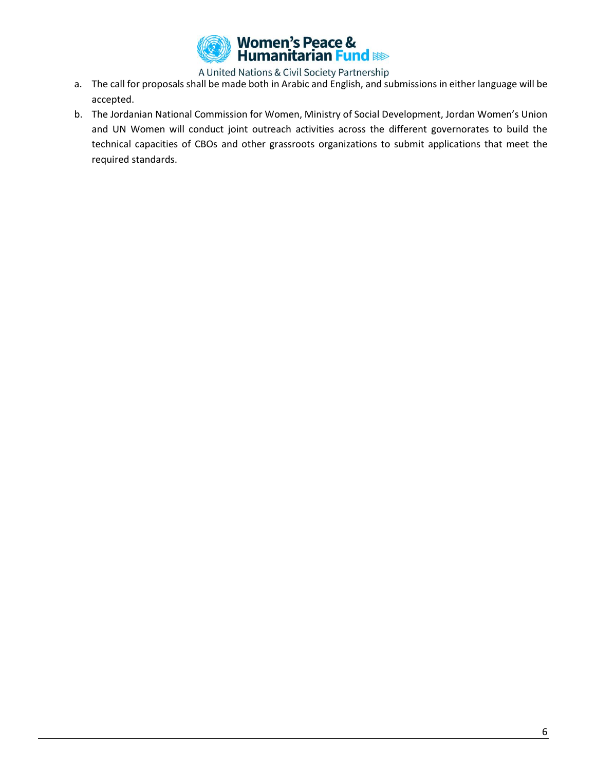

- a. The call for proposals shall be made both in Arabic and English, and submissions in either language will be accepted.
- b. The Jordanian National Commission for Women, Ministry of Social Development, Jordan Women's Union and UN Women will conduct joint outreach activities across the different governorates to build the technical capacities of CBOs and other grassroots organizations to submit applications that meet the required standards.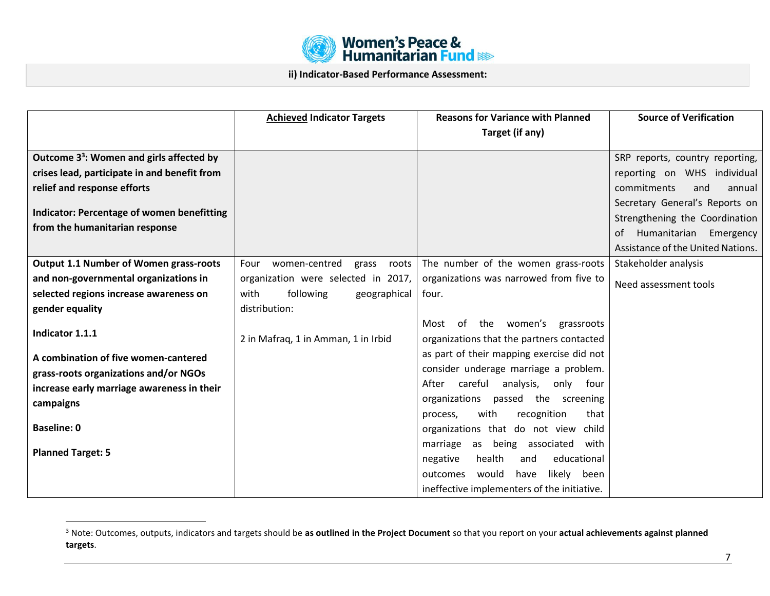

**ii) Indicator-Based Performance Assessment:**

|                                                      | <b>Achieved Indicator Targets</b>       | <b>Reasons for Variance with Planned</b><br>Target (if any) | <b>Source of Verification</b>     |
|------------------------------------------------------|-----------------------------------------|-------------------------------------------------------------|-----------------------------------|
| Outcome 3 <sup>3</sup> : Women and girls affected by |                                         |                                                             | SRP reports, country reporting,   |
| crises lead, participate in and benefit from         |                                         |                                                             | reporting on WHS individual       |
| relief and response efforts                          |                                         |                                                             | commitments<br>and<br>annual      |
|                                                      |                                         |                                                             | Secretary General's Reports on    |
| Indicator: Percentage of women benefitting           |                                         |                                                             | Strengthening the Coordination    |
| from the humanitarian response                       |                                         |                                                             | Humanitarian<br>Emergency<br>0f   |
|                                                      |                                         |                                                             | Assistance of the United Nations. |
| <b>Output 1.1 Number of Women grass-roots</b>        | women-centred<br>Four<br>grass<br>roots | The number of the women grass-roots                         | Stakeholder analysis              |
| and non-governmental organizations in                | organization were selected in 2017,     | organizations was narrowed from five to                     | Need assessment tools             |
| selected regions increase awareness on               | with<br>following<br>geographical       | four.                                                       |                                   |
| gender equality                                      | distribution:                           |                                                             |                                   |
|                                                      |                                         | Most of the women's<br>grassroots                           |                                   |
| Indicator 1.1.1                                      | 2 in Mafraq, 1 in Amman, 1 in Irbid     | organizations that the partners contacted                   |                                   |
| A combination of five women-cantered                 |                                         | as part of their mapping exercise did not                   |                                   |
| grass-roots organizations and/or NGOs                |                                         | consider underage marriage a problem.                       |                                   |
| increase early marriage awareness in their           |                                         | After<br>careful<br>analysis,<br>only four                  |                                   |
| campaigns                                            |                                         | organizations<br>passed the screening                       |                                   |
|                                                      |                                         | recognition<br>that<br>with<br>process,                     |                                   |
| <b>Baseline: 0</b>                                   |                                         | organizations that do not view child                        |                                   |
| <b>Planned Target: 5</b>                             |                                         | being associated<br>marriage<br>as<br>with                  |                                   |
|                                                      |                                         | health<br>educational<br>negative<br>and                    |                                   |
|                                                      |                                         | would<br>likely been<br>outcomes<br>have                    |                                   |
|                                                      |                                         | ineffective implementers of the initiative.                 |                                   |

 $\overline{a}$ 

<sup>3</sup> Note: Outcomes, outputs, indicators and targets should be **as outlined in the Project Document** so that you report on your **actual achievements against planned targets**.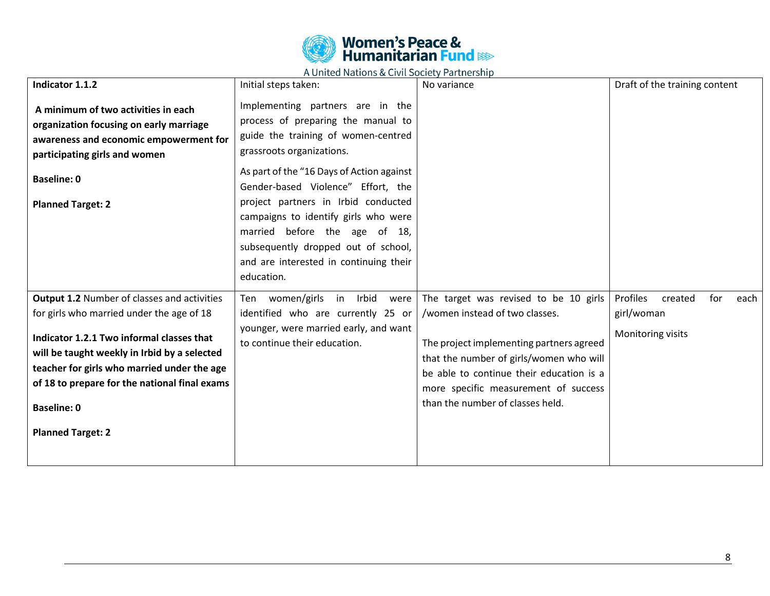

| Indicator 1.1.2                                                                                                                                                                                                                             | Initial steps taken:                                                                                                                                                                                                                                                                                                                                                                                                           | No variance                                                                                                                                                                                                 | Draft of the training content        |
|---------------------------------------------------------------------------------------------------------------------------------------------------------------------------------------------------------------------------------------------|--------------------------------------------------------------------------------------------------------------------------------------------------------------------------------------------------------------------------------------------------------------------------------------------------------------------------------------------------------------------------------------------------------------------------------|-------------------------------------------------------------------------------------------------------------------------------------------------------------------------------------------------------------|--------------------------------------|
| A minimum of two activities in each<br>organization focusing on early marriage<br>awareness and economic empowerment for<br>participating girls and women<br><b>Baseline: 0</b><br><b>Planned Target: 2</b>                                 | Implementing partners are in the<br>process of preparing the manual to<br>guide the training of women-centred<br>grassroots organizations.<br>As part of the "16 Days of Action against<br>Gender-based Violence" Effort, the<br>project partners in Irbid conducted<br>campaigns to identify girls who were<br>married before the age of 18,<br>subsequently dropped out of school,<br>and are interested in continuing their |                                                                                                                                                                                                             |                                      |
|                                                                                                                                                                                                                                             | education.                                                                                                                                                                                                                                                                                                                                                                                                                     |                                                                                                                                                                                                             | Profiles                             |
| <b>Output 1.2 Number of classes and activities</b><br>for girls who married under the age of 18                                                                                                                                             | Ten women/girls in Irbid<br>were<br>identified who are currently 25 or                                                                                                                                                                                                                                                                                                                                                         | The target was revised to be 10 girls<br>/women instead of two classes.                                                                                                                                     | created<br>for<br>each<br>girl/woman |
| Indicator 1.2.1 Two informal classes that<br>will be taught weekly in Irbid by a selected<br>teacher for girls who married under the age<br>of 18 to prepare for the national final exams<br><b>Baseline: 0</b><br><b>Planned Target: 2</b> | younger, were married early, and want<br>to continue their education.                                                                                                                                                                                                                                                                                                                                                          | The project implementing partners agreed<br>that the number of girls/women who will<br>be able to continue their education is a<br>more specific measurement of success<br>than the number of classes held. | Monitoring visits                    |
|                                                                                                                                                                                                                                             |                                                                                                                                                                                                                                                                                                                                                                                                                                |                                                                                                                                                                                                             |                                      |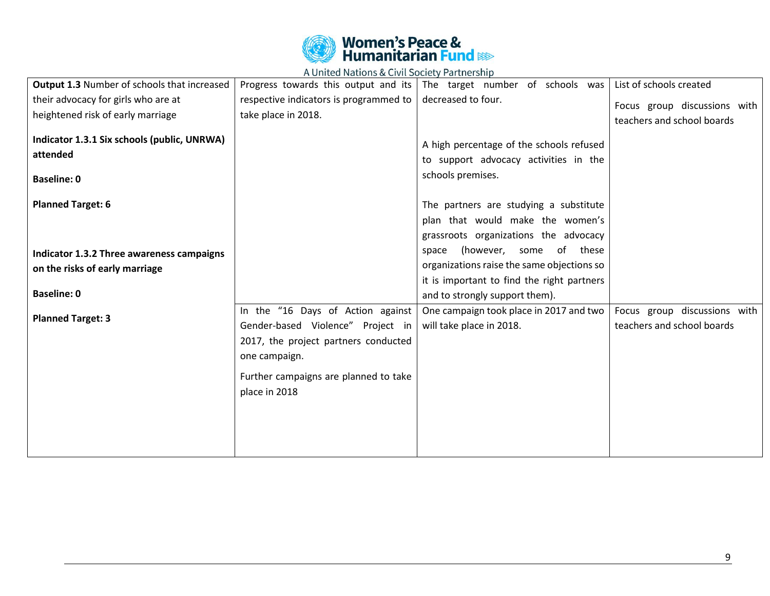

| <b>Output 1.3 Number of schools that increased</b>                            | Progress towards this output and its                                   | The target number of schools was                                                                       | List of schools created                                    |
|-------------------------------------------------------------------------------|------------------------------------------------------------------------|--------------------------------------------------------------------------------------------------------|------------------------------------------------------------|
| their advocacy for girls who are at                                           | respective indicators is programmed to                                 | decreased to four.                                                                                     | Focus group discussions with                               |
| heightened risk of early marriage                                             | take place in 2018.                                                    |                                                                                                        | teachers and school boards                                 |
| Indicator 1.3.1 Six schools (public, UNRWA)<br>attended<br><b>Baseline: 0</b> |                                                                        | A high percentage of the schools refused<br>to support advocacy activities in the<br>schools premises. |                                                            |
| <b>Planned Target: 6</b>                                                      |                                                                        | The partners are studying a substitute                                                                 |                                                            |
|                                                                               |                                                                        | plan that would make the women's                                                                       |                                                            |
|                                                                               |                                                                        | grassroots organizations the advocacy                                                                  |                                                            |
|                                                                               |                                                                        | of these<br>(however, some<br>space                                                                    |                                                            |
| Indicator 1.3.2 Three awareness campaigns                                     |                                                                        | organizations raise the same objections so                                                             |                                                            |
| on the risks of early marriage                                                |                                                                        | it is important to find the right partners                                                             |                                                            |
| <b>Baseline: 0</b>                                                            |                                                                        | and to strongly support them).                                                                         |                                                            |
| <b>Planned Target: 3</b>                                                      | In the "16 Days of Action against<br>Gender-based Violence" Project in | One campaign took place in 2017 and two<br>will take place in 2018.                                    | Focus group discussions with<br>teachers and school boards |
|                                                                               | 2017, the project partners conducted<br>one campaign.                  |                                                                                                        |                                                            |
|                                                                               | Further campaigns are planned to take                                  |                                                                                                        |                                                            |
|                                                                               | place in 2018                                                          |                                                                                                        |                                                            |
|                                                                               |                                                                        |                                                                                                        |                                                            |
|                                                                               |                                                                        |                                                                                                        |                                                            |
|                                                                               |                                                                        |                                                                                                        |                                                            |
|                                                                               |                                                                        |                                                                                                        |                                                            |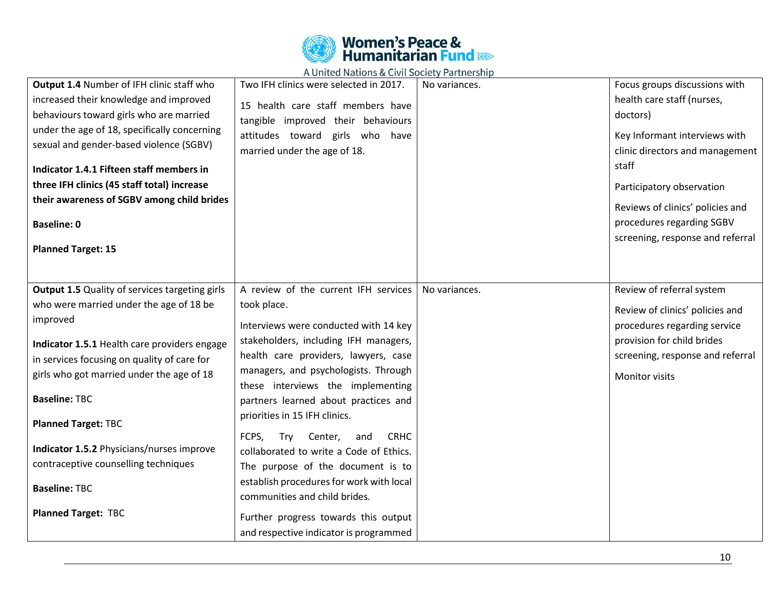

| Output 1.4 Number of IFH clinic staff who<br>increased their knowledge and improved<br>behaviours toward girls who are married<br>under the age of 18, specifically concerning<br>sexual and gender-based violence (SGBV)<br>Indicator 1.4.1 Fifteen staff members in<br>three IFH clinics (45 staff total) increase<br>their awareness of SGBV among child brides<br><b>Baseline: 0</b><br><b>Planned Target: 15</b><br><b>Output 1.5</b> Quality of services targeting girls | Two IFH clinics were selected in 2017.<br>15 health care staff members have<br>tangible improved their behaviours<br>attitudes toward girls who have<br>married under the age of 18.<br>A review of the current IFH services                                                                                                                                                                                                                                                                                                                                                                | No variances.<br>No variances. | Focus groups discussions with<br>health care staff (nurses,<br>doctors)<br>Key Informant interviews with<br>clinic directors and management<br>staff<br>Participatory observation<br>Reviews of clinics' policies and<br>procedures regarding SGBV<br>screening, response and referral<br>Review of referral system |
|--------------------------------------------------------------------------------------------------------------------------------------------------------------------------------------------------------------------------------------------------------------------------------------------------------------------------------------------------------------------------------------------------------------------------------------------------------------------------------|---------------------------------------------------------------------------------------------------------------------------------------------------------------------------------------------------------------------------------------------------------------------------------------------------------------------------------------------------------------------------------------------------------------------------------------------------------------------------------------------------------------------------------------------------------------------------------------------|--------------------------------|---------------------------------------------------------------------------------------------------------------------------------------------------------------------------------------------------------------------------------------------------------------------------------------------------------------------|
| who were married under the age of 18 be<br>improved<br>Indicator 1.5.1 Health care providers engage<br>in services focusing on quality of care for<br>girls who got married under the age of 18<br><b>Baseline: TBC</b><br><b>Planned Target: TBC</b><br>Indicator 1.5.2 Physicians/nurses improve<br>contraceptive counselling techniques<br><b>Baseline: TBC</b><br><b>Planned Target: TBC</b>                                                                               | took place.<br>Interviews were conducted with 14 key<br>stakeholders, including IFH managers,<br>health care providers, lawyers, case<br>managers, and psychologists. Through<br>these interviews the implementing<br>partners learned about practices and<br>priorities in 15 IFH clinics.<br>FCPS,<br>Center,<br><b>CRHC</b><br>Try<br>and<br>collaborated to write a Code of Ethics.<br>The purpose of the document is to<br>establish procedures for work with local<br>communities and child brides.<br>Further progress towards this output<br>and respective indicator is programmed |                                | Review of clinics' policies and<br>procedures regarding service<br>provision for child brides<br>screening, response and referral<br><b>Monitor visits</b>                                                                                                                                                          |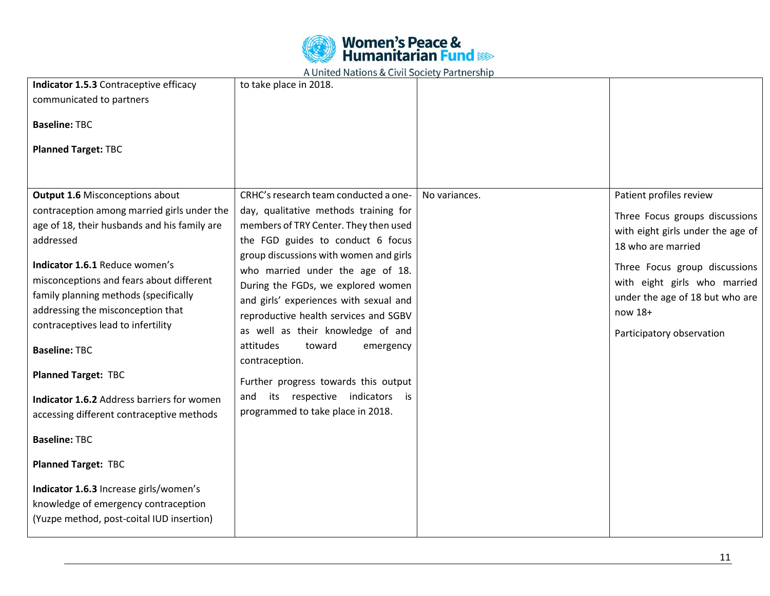

| Indicator 1.5.3 Contraceptive efficacy<br>communicated to partners<br><b>Baseline: TBC</b><br><b>Planned Target: TBC</b>                                                                                                                                                                                                                                                                                                                                                                                                                                    | to take place in 2018.                                                                                                                                                                                                                                                                                                                                                                                                                                                                                                                                                                |               |                                                                                                                                                                                                                                                                  |
|-------------------------------------------------------------------------------------------------------------------------------------------------------------------------------------------------------------------------------------------------------------------------------------------------------------------------------------------------------------------------------------------------------------------------------------------------------------------------------------------------------------------------------------------------------------|---------------------------------------------------------------------------------------------------------------------------------------------------------------------------------------------------------------------------------------------------------------------------------------------------------------------------------------------------------------------------------------------------------------------------------------------------------------------------------------------------------------------------------------------------------------------------------------|---------------|------------------------------------------------------------------------------------------------------------------------------------------------------------------------------------------------------------------------------------------------------------------|
| <b>Output 1.6 Misconceptions about</b><br>contraception among married girls under the<br>age of 18, their husbands and his family are<br>addressed<br>Indicator 1.6.1 Reduce women's<br>misconceptions and fears about different<br>family planning methods (specifically<br>addressing the misconception that<br>contraceptives lead to infertility<br><b>Baseline: TBC</b><br><b>Planned Target: TBC</b><br>Indicator 1.6.2 Address barriers for women<br>accessing different contraceptive methods<br><b>Baseline: TBC</b><br><b>Planned Target: TBC</b> | CRHC's research team conducted a one-<br>day, qualitative methods training for<br>members of TRY Center. They then used<br>the FGD guides to conduct 6 focus<br>group discussions with women and girls<br>who married under the age of 18.<br>During the FGDs, we explored women<br>and girls' experiences with sexual and<br>reproductive health services and SGBV<br>as well as their knowledge of and<br>attitudes<br>toward<br>emergency<br>contraception.<br>Further progress towards this output<br>respective indicators is<br>its<br>and<br>programmed to take place in 2018. | No variances. | Patient profiles review<br>Three Focus groups discussions<br>with eight girls under the age of<br>18 who are married<br>Three Focus group discussions<br>with eight girls who married<br>under the age of 18 but who are<br>now 18+<br>Participatory observation |
| Indicator 1.6.3 Increase girls/women's<br>knowledge of emergency contraception<br>(Yuzpe method, post-coital IUD insertion)                                                                                                                                                                                                                                                                                                                                                                                                                                 |                                                                                                                                                                                                                                                                                                                                                                                                                                                                                                                                                                                       |               |                                                                                                                                                                                                                                                                  |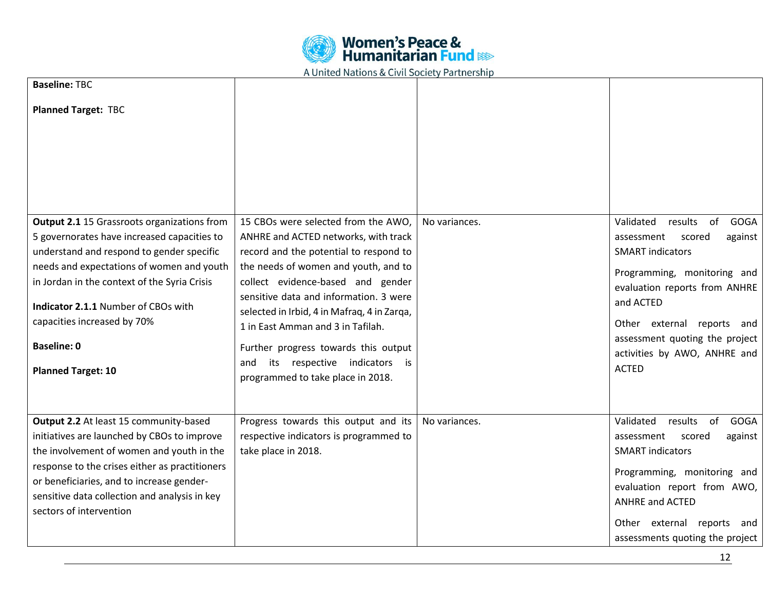

| <b>Baseline: TBC</b>                                                                                                                                                                                                                                                                                                                                                        |                                                                                                                                                                                                                                                                                                                                                                                                                                                      |               |                                                                                                                                                                                                                                                                                                      |
|-----------------------------------------------------------------------------------------------------------------------------------------------------------------------------------------------------------------------------------------------------------------------------------------------------------------------------------------------------------------------------|------------------------------------------------------------------------------------------------------------------------------------------------------------------------------------------------------------------------------------------------------------------------------------------------------------------------------------------------------------------------------------------------------------------------------------------------------|---------------|------------------------------------------------------------------------------------------------------------------------------------------------------------------------------------------------------------------------------------------------------------------------------------------------------|
| <b>Planned Target: TBC</b>                                                                                                                                                                                                                                                                                                                                                  |                                                                                                                                                                                                                                                                                                                                                                                                                                                      |               |                                                                                                                                                                                                                                                                                                      |
| <b>Output 2.1</b> 15 Grassroots organizations from<br>5 governorates have increased capacities to<br>understand and respond to gender specific<br>needs and expectations of women and youth<br>in Jordan in the context of the Syria Crisis<br><b>Indicator 2.1.1 Number of CBOs with</b><br>capacities increased by 70%<br><b>Baseline: 0</b><br><b>Planned Target: 10</b> | 15 CBOs were selected from the AWO,<br>ANHRE and ACTED networks, with track<br>record and the potential to respond to<br>the needs of women and youth, and to<br>collect evidence-based and gender<br>sensitive data and information. 3 were<br>selected in Irbid, 4 in Mafraq, 4 in Zarqa,<br>1 in East Amman and 3 in Tafilah.<br>Further progress towards this output<br>its respective indicators is<br>and<br>programmed to take place in 2018. | No variances. | <b>GOGA</b><br>Validated<br>of<br>results<br>against<br>assessment<br>scored<br><b>SMART indicators</b><br>Programming, monitoring and<br>evaluation reports from ANHRE<br>and ACTED<br>Other external reports and<br>assessment quoting the project<br>activities by AWO, ANHRE and<br><b>ACTED</b> |
| Output 2.2 At least 15 community-based<br>initiatives are launched by CBOs to improve<br>the involvement of women and youth in the<br>response to the crises either as practitioners<br>or beneficiaries, and to increase gender-<br>sensitive data collection and analysis in key<br>sectors of intervention                                                               | Progress towards this output and its<br>respective indicators is programmed to<br>take place in 2018.                                                                                                                                                                                                                                                                                                                                                | No variances. | Validated<br>results<br>of<br><b>GOGA</b><br>scored<br>against<br>assessment<br><b>SMART</b> indicators<br>Programming, monitoring and<br>evaluation report from AWO,<br><b>ANHRE and ACTED</b><br>Other external reports and<br>assessments quoting the project                                     |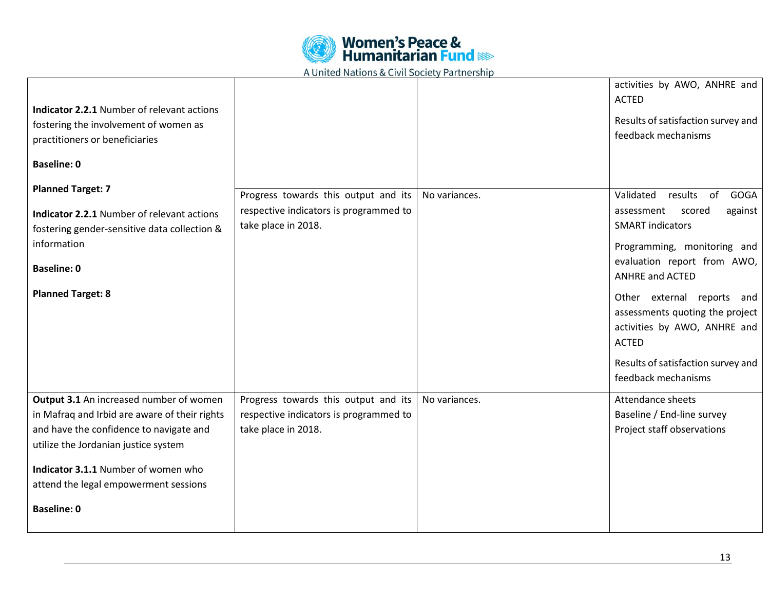

| <b>Indicator 2.2.1 Number of relevant actions</b><br>fostering the involvement of women as<br>practitioners or beneficiaries<br><b>Baseline: 0</b>                          |                                                                                                       |               | activities by AWO, ANHRE and<br><b>ACTED</b><br>Results of satisfaction survey and<br>feedback mechanisms                                           |
|-----------------------------------------------------------------------------------------------------------------------------------------------------------------------------|-------------------------------------------------------------------------------------------------------|---------------|-----------------------------------------------------------------------------------------------------------------------------------------------------|
| <b>Planned Target: 7</b>                                                                                                                                                    | Progress towards this output and its                                                                  | No variances. | Validated results of<br><b>GOGA</b>                                                                                                                 |
| <b>Indicator 2.2.1 Number of relevant actions</b><br>fostering gender-sensitive data collection &                                                                           | respective indicators is programmed to<br>take place in 2018.                                         |               | assessment<br>scored<br>against<br><b>SMART</b> indicators                                                                                          |
| information                                                                                                                                                                 |                                                                                                       |               | Programming, monitoring and                                                                                                                         |
| <b>Baseline: 0</b>                                                                                                                                                          |                                                                                                       |               | evaluation report from AWO,<br><b>ANHRE and ACTED</b>                                                                                               |
| <b>Planned Target: 8</b>                                                                                                                                                    |                                                                                                       |               | Other external reports and<br>assessments quoting the project<br>activities by AWO, ANHRE and<br><b>ACTED</b><br>Results of satisfaction survey and |
|                                                                                                                                                                             |                                                                                                       |               | feedback mechanisms                                                                                                                                 |
| Output 3.1 An increased number of women<br>in Mafraq and Irbid are aware of their rights<br>and have the confidence to navigate and<br>utilize the Jordanian justice system | Progress towards this output and its<br>respective indicators is programmed to<br>take place in 2018. | No variances. | Attendance sheets<br>Baseline / End-line survey<br>Project staff observations                                                                       |
| Indicator 3.1.1 Number of women who                                                                                                                                         |                                                                                                       |               |                                                                                                                                                     |
| attend the legal empowerment sessions                                                                                                                                       |                                                                                                       |               |                                                                                                                                                     |
| <b>Baseline: 0</b>                                                                                                                                                          |                                                                                                       |               |                                                                                                                                                     |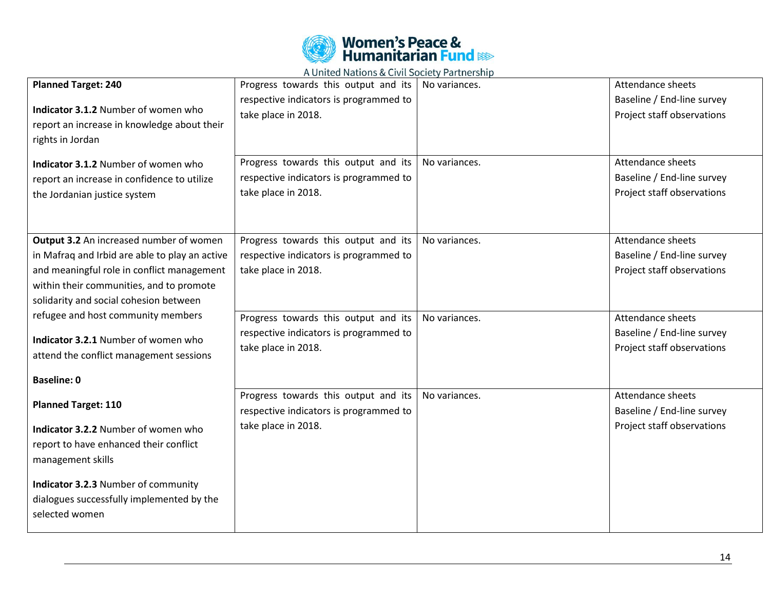

| <b>Planned Target: 240</b><br>Indicator 3.1.2 Number of women who<br>report an increase in knowledge about their<br>rights in Jordan<br>Indicator 3.1.2 Number of women who<br>report an increase in confidence to utilize<br>the Jordanian justice system                                                                                            | Progress towards this output and its<br>respective indicators is programmed to<br>take place in 2018.<br>Progress towards this output and its<br>respective indicators is programmed to<br>take place in 2018. | No variances.<br>No variances. | Attendance sheets<br>Baseline / End-line survey<br>Project staff observations<br>Attendance sheets<br>Baseline / End-line survey<br>Project staff observations |
|-------------------------------------------------------------------------------------------------------------------------------------------------------------------------------------------------------------------------------------------------------------------------------------------------------------------------------------------------------|----------------------------------------------------------------------------------------------------------------------------------------------------------------------------------------------------------------|--------------------------------|----------------------------------------------------------------------------------------------------------------------------------------------------------------|
| Output 3.2 An increased number of women<br>in Mafraq and Irbid are able to play an active<br>and meaningful role in conflict management<br>within their communities, and to promote<br>solidarity and social cohesion between<br>refugee and host community members<br>Indicator 3.2.1 Number of women who<br>attend the conflict management sessions | Progress towards this output and its<br>respective indicators is programmed to<br>take place in 2018.<br>Progress towards this output and its<br>respective indicators is programmed to<br>take place in 2018. | No variances.<br>No variances. | Attendance sheets<br>Baseline / End-line survey<br>Project staff observations<br>Attendance sheets<br>Baseline / End-line survey<br>Project staff observations |
| <b>Baseline: 0</b><br><b>Planned Target: 110</b><br>Indicator 3.2.2 Number of women who<br>report to have enhanced their conflict<br>management skills<br>Indicator 3.2.3 Number of community<br>dialogues successfully implemented by the<br>selected women                                                                                          | Progress towards this output and its<br>respective indicators is programmed to<br>take place in 2018.                                                                                                          | No variances.                  | Attendance sheets<br>Baseline / End-line survey<br>Project staff observations                                                                                  |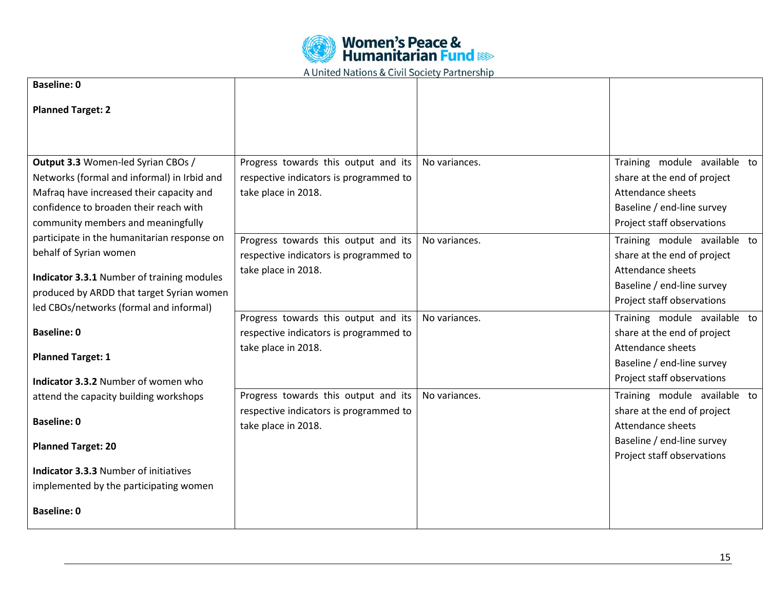

|                                                                                   | nomed nations a civil society rail thership                                    |               |                                                             |
|-----------------------------------------------------------------------------------|--------------------------------------------------------------------------------|---------------|-------------------------------------------------------------|
| <b>Baseline: 0</b>                                                                |                                                                                |               |                                                             |
| <b>Planned Target: 2</b>                                                          |                                                                                |               |                                                             |
|                                                                                   |                                                                                |               |                                                             |
|                                                                                   |                                                                                |               |                                                             |
| Output 3.3 Women-led Syrian CBOs /<br>Networks (formal and informal) in Irbid and | Progress towards this output and its<br>respective indicators is programmed to | No variances. | Training module available to<br>share at the end of project |
| Mafraq have increased their capacity and                                          | take place in 2018.                                                            |               | Attendance sheets                                           |
| confidence to broaden their reach with                                            |                                                                                |               | Baseline / end-line survey                                  |
| community members and meaningfully                                                |                                                                                |               | Project staff observations                                  |
| participate in the humanitarian response on                                       | Progress towards this output and its                                           | No variances. | Training module available to                                |
| behalf of Syrian women                                                            | respective indicators is programmed to                                         |               | share at the end of project                                 |
| Indicator 3.3.1 Number of training modules                                        | take place in 2018.                                                            |               | Attendance sheets                                           |
| produced by ARDD that target Syrian women                                         |                                                                                |               | Baseline / end-line survey                                  |
| led CBOs/networks (formal and informal)                                           |                                                                                |               | Project staff observations                                  |
|                                                                                   | Progress towards this output and its                                           | No variances. | Training module available to                                |
| <b>Baseline: 0</b>                                                                | respective indicators is programmed to                                         |               | share at the end of project                                 |
| <b>Planned Target: 1</b>                                                          | take place in 2018.                                                            |               | Attendance sheets<br>Baseline / end-line survey             |
|                                                                                   |                                                                                |               | Project staff observations                                  |
| Indicator 3.3.2 Number of women who<br>attend the capacity building workshops     | Progress towards this output and its                                           | No variances. | Training module available to                                |
|                                                                                   | respective indicators is programmed to                                         |               | share at the end of project                                 |
| <b>Baseline: 0</b>                                                                | take place in 2018.                                                            |               | Attendance sheets                                           |
|                                                                                   |                                                                                |               | Baseline / end-line survey                                  |
| <b>Planned Target: 20</b>                                                         |                                                                                |               | Project staff observations                                  |
| <b>Indicator 3.3.3 Number of initiatives</b>                                      |                                                                                |               |                                                             |
| implemented by the participating women                                            |                                                                                |               |                                                             |
| <b>Baseline: 0</b>                                                                |                                                                                |               |                                                             |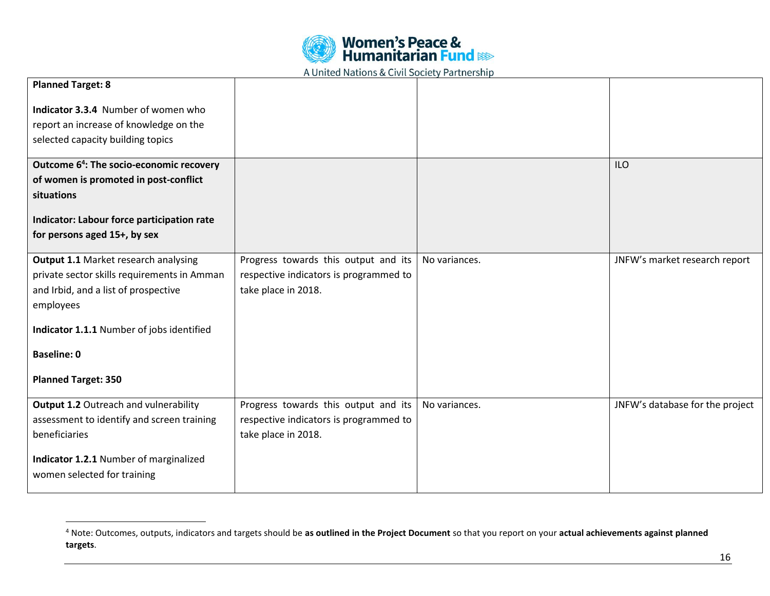

| <b>Planned Target: 8</b>                             |                                        |               |                                 |
|------------------------------------------------------|----------------------------------------|---------------|---------------------------------|
| Indicator 3.3.4 Number of women who                  |                                        |               |                                 |
| report an increase of knowledge on the               |                                        |               |                                 |
| selected capacity building topics                    |                                        |               |                                 |
| Outcome 6 <sup>4</sup> : The socio-economic recovery |                                        |               | <b>ILO</b>                      |
| of women is promoted in post-conflict                |                                        |               |                                 |
| situations                                           |                                        |               |                                 |
| Indicator: Labour force participation rate           |                                        |               |                                 |
| for persons aged 15+, by sex                         |                                        |               |                                 |
|                                                      |                                        |               |                                 |
| Output 1.1 Market research analysing                 | Progress towards this output and its   | No variances. | JNFW's market research report   |
| private sector skills requirements in Amman          | respective indicators is programmed to |               |                                 |
| and Irbid, and a list of prospective                 | take place in 2018.                    |               |                                 |
| employees                                            |                                        |               |                                 |
| Indicator 1.1.1 Number of jobs identified            |                                        |               |                                 |
| <b>Baseline: 0</b>                                   |                                        |               |                                 |
| <b>Planned Target: 350</b>                           |                                        |               |                                 |
| Output 1.2 Outreach and vulnerability                | Progress towards this output and its   | No variances. | JNFW's database for the project |
| assessment to identify and screen training           | respective indicators is programmed to |               |                                 |
| beneficiaries                                        | take place in 2018.                    |               |                                 |
|                                                      |                                        |               |                                 |
| Indicator 1.2.1 Number of marginalized               |                                        |               |                                 |
| women selected for training                          |                                        |               |                                 |
|                                                      |                                        |               |                                 |

 $\overline{a}$ 

<sup>4</sup> Note: Outcomes, outputs, indicators and targets should be **as outlined in the Project Document** so that you report on your **actual achievements against planned targets**.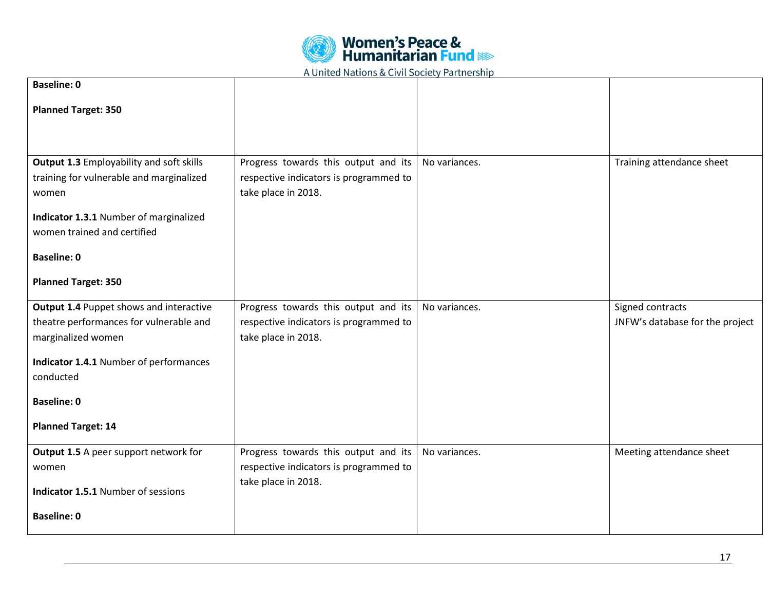

| <b>Baseline: 0</b>                                |                                                               |               |                                 |
|---------------------------------------------------|---------------------------------------------------------------|---------------|---------------------------------|
| <b>Planned Target: 350</b>                        |                                                               |               |                                 |
|                                                   |                                                               |               |                                 |
|                                                   |                                                               |               |                                 |
| <b>Output 1.3 Employability and soft skills</b>   | Progress towards this output and its                          | No variances. | Training attendance sheet       |
| training for vulnerable and marginalized<br>women | respective indicators is programmed to<br>take place in 2018. |               |                                 |
|                                                   |                                                               |               |                                 |
| Indicator 1.3.1 Number of marginalized            |                                                               |               |                                 |
| women trained and certified                       |                                                               |               |                                 |
| <b>Baseline: 0</b>                                |                                                               |               |                                 |
| <b>Planned Target: 350</b>                        |                                                               |               |                                 |
| <b>Output 1.4 Puppet shows and interactive</b>    | Progress towards this output and its                          | No variances. | Signed contracts                |
| theatre performances for vulnerable and           | respective indicators is programmed to                        |               | JNFW's database for the project |
| marginalized women                                | take place in 2018.                                           |               |                                 |
| Indicator 1.4.1 Number of performances            |                                                               |               |                                 |
| conducted                                         |                                                               |               |                                 |
| <b>Baseline: 0</b>                                |                                                               |               |                                 |
| <b>Planned Target: 14</b>                         |                                                               |               |                                 |
| Output 1.5 A peer support network for             | Progress towards this output and its                          | No variances. | Meeting attendance sheet        |
| women                                             | respective indicators is programmed to                        |               |                                 |
| Indicator 1.5.1 Number of sessions                | take place in 2018.                                           |               |                                 |
| <b>Baseline: 0</b>                                |                                                               |               |                                 |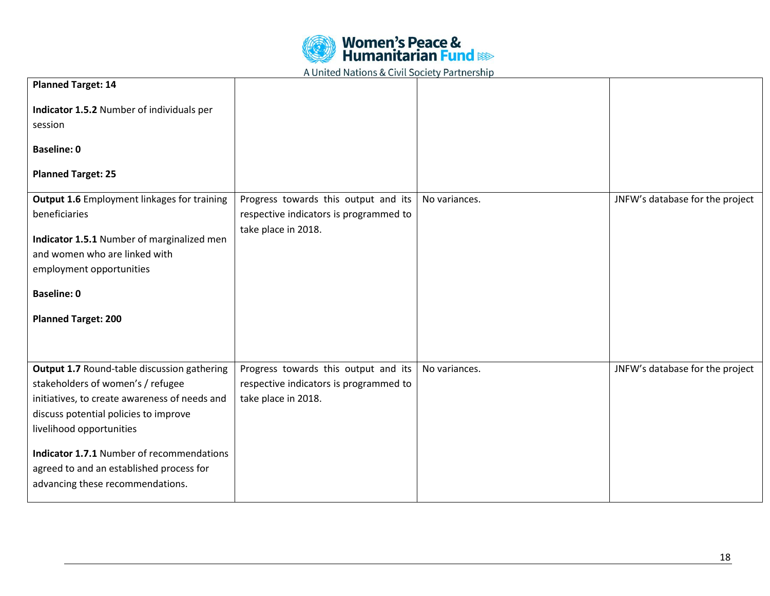

| <b>Planned Target: 14</b>                          |                                        |               |                                 |
|----------------------------------------------------|----------------------------------------|---------------|---------------------------------|
| Indicator 1.5.2 Number of individuals per          |                                        |               |                                 |
| session                                            |                                        |               |                                 |
|                                                    |                                        |               |                                 |
| <b>Baseline: 0</b>                                 |                                        |               |                                 |
| <b>Planned Target: 25</b>                          |                                        |               |                                 |
|                                                    |                                        |               |                                 |
| <b>Output 1.6</b> Employment linkages for training | Progress towards this output and its   | No variances. | JNFW's database for the project |
| beneficiaries                                      | respective indicators is programmed to |               |                                 |
|                                                    | take place in 2018.                    |               |                                 |
| Indicator 1.5.1 Number of marginalized men         |                                        |               |                                 |
| and women who are linked with                      |                                        |               |                                 |
| employment opportunities                           |                                        |               |                                 |
| <b>Baseline: 0</b>                                 |                                        |               |                                 |
|                                                    |                                        |               |                                 |
| <b>Planned Target: 200</b>                         |                                        |               |                                 |
|                                                    |                                        |               |                                 |
|                                                    |                                        |               |                                 |
| Output 1.7 Round-table discussion gathering        | Progress towards this output and its   | No variances. | JNFW's database for the project |
| stakeholders of women's / refugee                  | respective indicators is programmed to |               |                                 |
| initiatives, to create awareness of needs and      | take place in 2018.                    |               |                                 |
| discuss potential policies to improve              |                                        |               |                                 |
| livelihood opportunities                           |                                        |               |                                 |
|                                                    |                                        |               |                                 |
| <b>Indicator 1.7.1 Number of recommendations</b>   |                                        |               |                                 |
| agreed to and an established process for           |                                        |               |                                 |
| advancing these recommendations.                   |                                        |               |                                 |
|                                                    |                                        |               |                                 |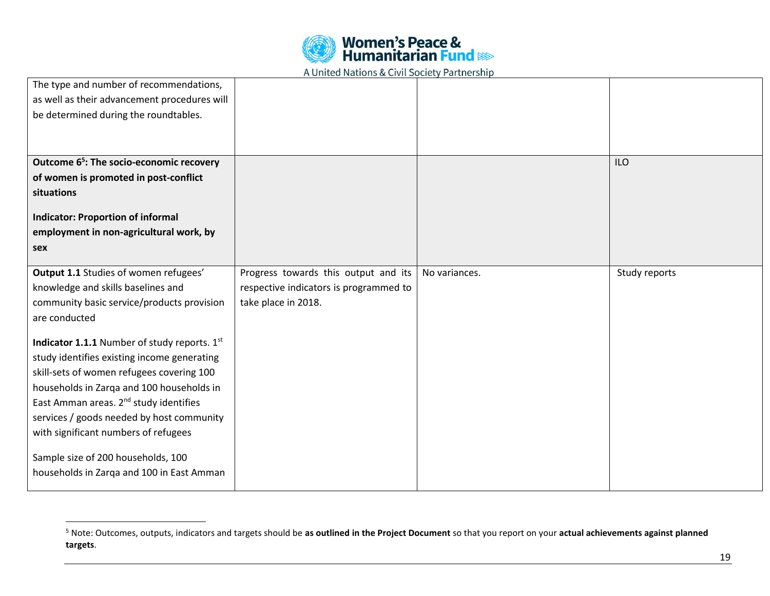| <b>Women's Peace &amp;<br/>Humanitarian Fund &amp; Research</b> |  |  |
|-----------------------------------------------------------------|--|--|
|                                                                 |  |  |

| The type and number of recommendations,              |                                        |               |               |
|------------------------------------------------------|----------------------------------------|---------------|---------------|
| as well as their advancement procedures will         |                                        |               |               |
| be determined during the roundtables.                |                                        |               |               |
|                                                      |                                        |               |               |
|                                                      |                                        |               |               |
| Outcome 6 <sup>5</sup> : The socio-economic recovery |                                        |               | <b>ILO</b>    |
| of women is promoted in post-conflict                |                                        |               |               |
| situations                                           |                                        |               |               |
| <b>Indicator: Proportion of informal</b>             |                                        |               |               |
| employment in non-agricultural work, by              |                                        |               |               |
| sex                                                  |                                        |               |               |
|                                                      |                                        |               |               |
| Output 1.1 Studies of women refugees'                | Progress towards this output and its   | No variances. | Study reports |
|                                                      |                                        |               |               |
| knowledge and skills baselines and                   | respective indicators is programmed to |               |               |
| community basic service/products provision           | take place in 2018.                    |               |               |
| are conducted                                        |                                        |               |               |
|                                                      |                                        |               |               |
| Indicator 1.1.1 Number of study reports. 1st         |                                        |               |               |
| study identifies existing income generating          |                                        |               |               |
| skill-sets of women refugees covering 100            |                                        |               |               |
| households in Zarqa and 100 households in            |                                        |               |               |
| East Amman areas. 2 <sup>nd</sup> study identifies   |                                        |               |               |
| services / goods needed by host community            |                                        |               |               |
| with significant numbers of refugees                 |                                        |               |               |
| Sample size of 200 households, 100                   |                                        |               |               |
| households in Zarqa and 100 in East Amman            |                                        |               |               |

 $\overline{a}$ 

<sup>5</sup> Note: Outcomes, outputs, indicators and targets should be **as outlined in the Project Document** so that you report on your **actual achievements against planned targets**.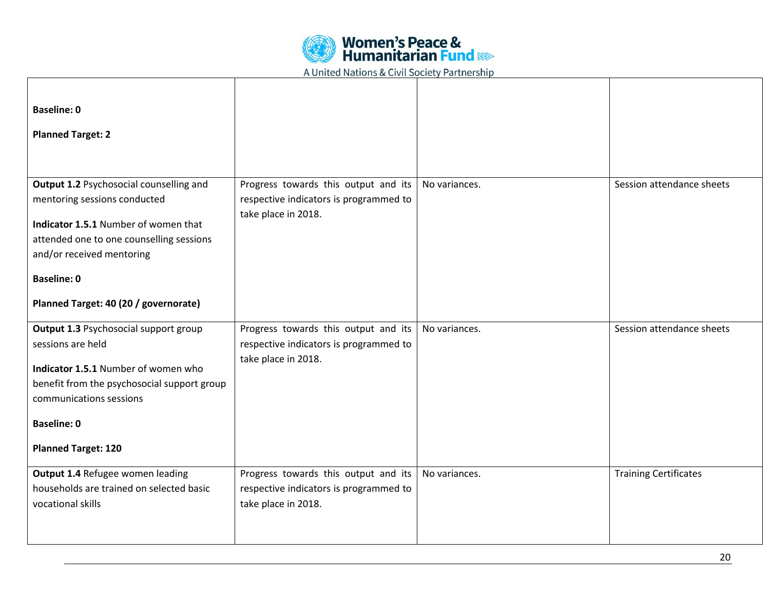

| <b>Baseline: 0</b><br><b>Planned Target: 2</b>                                                                                                                              |                                                                                                       |               |                              |
|-----------------------------------------------------------------------------------------------------------------------------------------------------------------------------|-------------------------------------------------------------------------------------------------------|---------------|------------------------------|
| Output 1.2 Psychosocial counselling and<br>mentoring sessions conducted                                                                                                     | Progress towards this output and its<br>respective indicators is programmed to                        | No variances. | Session attendance sheets    |
| Indicator 1.5.1 Number of women that<br>attended one to one counselling sessions<br>and/or received mentoring                                                               | take place in 2018.                                                                                   |               |                              |
| <b>Baseline: 0</b><br>Planned Target: 40 (20 / governorate)                                                                                                                 |                                                                                                       |               |                              |
| Output 1.3 Psychosocial support group<br>sessions are held<br>Indicator 1.5.1 Number of women who<br>benefit from the psychosocial support group<br>communications sessions | Progress towards this output and its<br>respective indicators is programmed to<br>take place in 2018. | No variances. | Session attendance sheets    |
| <b>Baseline: 0</b><br><b>Planned Target: 120</b>                                                                                                                            |                                                                                                       |               |                              |
| Output 1.4 Refugee women leading<br>households are trained on selected basic<br>vocational skills                                                                           | Progress towards this output and its<br>respective indicators is programmed to<br>take place in 2018. | No variances. | <b>Training Certificates</b> |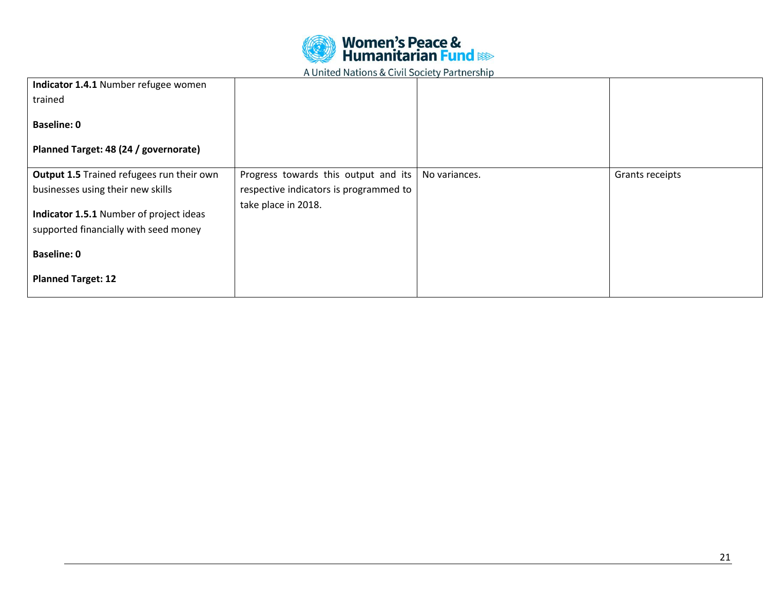

| Indicator 1.4.1 Number refugee women      |                                        |               |                 |
|-------------------------------------------|----------------------------------------|---------------|-----------------|
| trained                                   |                                        |               |                 |
| <b>Baseline: 0</b>                        |                                        |               |                 |
| Planned Target: 48 (24 / governorate)     |                                        |               |                 |
| Output 1.5 Trained refugees run their own | Progress towards this output and its   | No variances. | Grants receipts |
| businesses using their new skills         | respective indicators is programmed to |               |                 |
| Indicator 1.5.1 Number of project ideas   | take place in 2018.                    |               |                 |
|                                           |                                        |               |                 |
| supported financially with seed money     |                                        |               |                 |
| <b>Baseline: 0</b>                        |                                        |               |                 |
| <b>Planned Target: 12</b>                 |                                        |               |                 |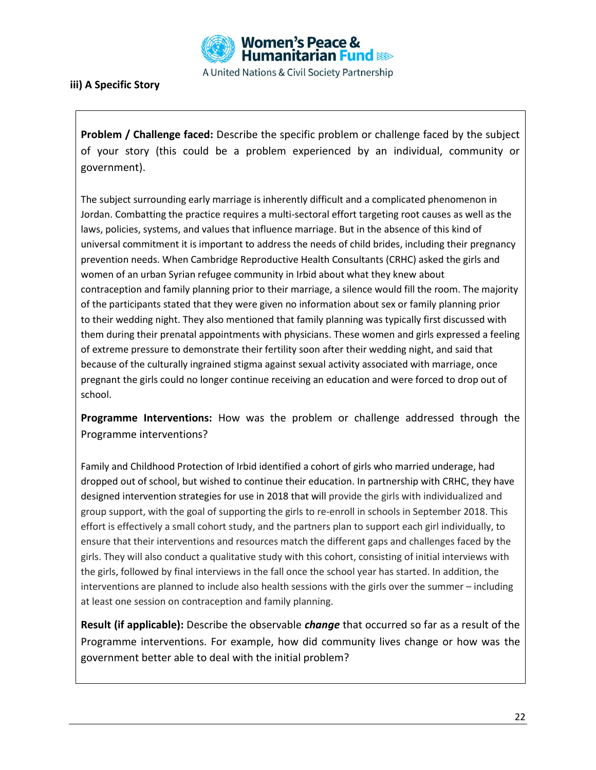

## **iii) A Specific Story**

**Problem / Challenge faced:** Describe the specific problem or challenge faced by the subject of your story (this could be a problem experienced by an individual, community or government).

The subject surrounding early marriage is inherently difficult and a complicated phenomenon in Jordan. Combatting the practice requires a multi-sectoral effort targeting root causes as well as the laws, policies, systems, and values that influence marriage. But in the absence of this kind of universal commitment it is important to address the needs of child brides, including their pregnancy prevention needs. When Cambridge Reproductive Health Consultants (CRHC) asked the girls and women of an urban Syrian refugee community in Irbid about what they knew about contraception and family planning prior to their marriage, a silence would fill the room. The majority of the participants stated that they were given no information about sex or family planning prior to their wedding night. They also mentioned that family planning was typically first discussed with them during their prenatal appointments with physicians. These women and girls expressed a feeling of extreme pressure to demonstrate their fertility soon after their wedding night, and said that because of the culturally ingrained stigma against sexual activity associated with marriage, once pregnant the girls could no longer continue receiving an education and were forced to drop out of school.

**Programme Interventions:** How was the problem or challenge addressed through the Programme interventions?

Family and Childhood Protection of Irbid identified a cohort of girls who married underage, had dropped out of school, but wished to continue their education. In partnership with CRHC, they have designed intervention strategies for use in 2018 that will provide the girls with individualized and group support, with the goal of supporting the girls to re-enroll in schools in September 2018. This effort is effectively a small cohort study, and the partners plan to support each girl individually, to ensure that their interventions and resources match the different gaps and challenges faced by the girls. They will also conduct a qualitative study with this cohort, consisting of initial interviews with the girls, followed by final interviews in the fall once the school year has started. In addition, the interventions are planned to include also health sessions with the girls over the summer – including at least one session on contraception and family planning.

**Result (if applicable):** Describe the observable *change* that occurred so far as a result of the Programme interventions. For example, how did community lives change or how was the government better able to deal with the initial problem?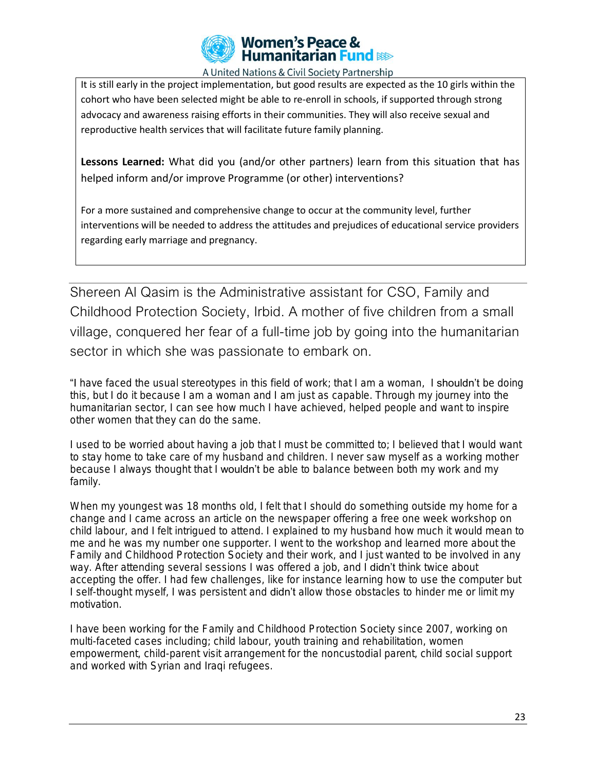

It is still early in the project implementation, but good results are expected as the 10 girls within the cohort who have been selected might be able to re-enroll in schools, if supported through strong advocacy and awareness raising efforts in their communities. They will also receive sexual and reproductive health services that will facilitate future family planning.

**Lessons Learned:** What did you (and/or other partners) learn from this situation that has helped inform and/or improve Programme (or other) interventions?

For a more sustained and comprehensive change to occur at the community level, further interventions will be needed to address the attitudes and prejudices of educational service providers regarding early marriage and pregnancy.

Shereen Al Qasim is the Administrative assistant for CSO, Family and Childhood Protection Society, Irbid. A mother of five children from a small village, conquered her fear of a full-time job by going into the humanitarian sector in which she was passionate to embark on.

"I have faced the usual stereotypes in this field of work; that I am a woman, I shouldn't be doing this, but I do it because I am a woman and I am just as capable. Through my journey into the humanitarian sector, I can see how much I have achieved, helped people and want to inspire other women that they can do the same.

I used to be worried about having a job that I must be committed to; I believed that I would want to stay home to take care of my husband and children. I never saw myself as a working mother because I always thought that I wouldn't be able to balance between both my work and my family.

When my youngest was 18 months old, I felt that I should do something outside my home for a change and I came across an article on the newspaper offering a free one week workshop on child labour, and I felt intrigued to attend. I explained to my husband how much it would mean to me and he was my number one supporter. I went to the workshop and learned more about the Family and Childhood Protection Society and their work, and I just wanted to be involved in any way. After attending several sessions I was offered a job, and I didn't think twice about accepting the offer. I had few challenges, like for instance learning how to use the computer but I self-thought myself, I was persistent and **didn't** allow those obstacles to hinder me or limit my motivation.

I have been working for the Family and Childhood Protection Society since 2007, working on multi-faceted cases including; child labour, youth training and rehabilitation, women empowerment, child-parent visit arrangement for the noncustodial parent, child social support and worked with Syrian and Iraqi refugees.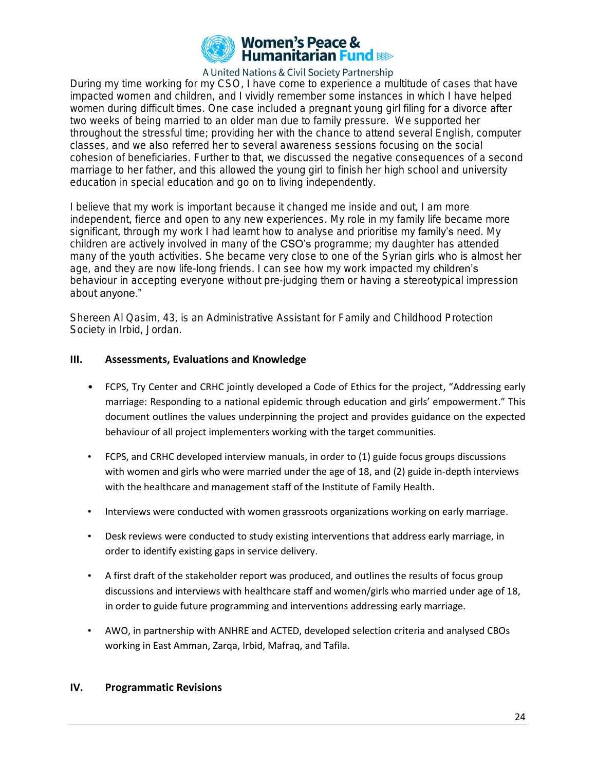

During my time working for my CSO, I have come to experience a multitude of cases that have impacted women and children, and I vividly remember some instances in which I have helped women during difficult times. One case included a pregnant young girl filing for a divorce after two weeks of being married to an older man due to family pressure. We supported her throughout the stressful time; providing her with the chance to attend several English, computer classes, and we also referred her to several awareness sessions focusing on the social cohesion of beneficiaries. Further to that, we discussed the negative consequences of a second marriage to her father, and this allowed the young girl to finish her high school and university education in special education and go on to living independently.

I believe that my work is important because it changed me inside and out, I am more independent, fierce and open to any new experiences. My role in my family life became more significant, through my work I had learnt how to analyse and prioritise my **family's** need. My children are actively involved in many of the CSO's programme; my daughter has attended many of the youth activities. She became very close to one of the Syrian girls who is almost her age, and they are now life-long friends. I can see how my work impacted my **children's** behaviour in accepting everyone without pre-judging them or having a stereotypical impression about anyone."

Shereen Al Qasim, 43, is an Administrative Assistant for Family and Childhood Protection Society in Irbid, Jordan.

### **III. Assessments, Evaluations and Knowledge**

- FCPS, Try Center and CRHC jointly developed a Code of Ethics for the project, "Addressing early marriage: Responding to a national epidemic through education and girls' empowerment." This document outlines the values underpinning the project and provides guidance on the expected behaviour of all project implementers working with the target communities.
- FCPS, and CRHC developed interview manuals, in order to (1) guide focus groups discussions with women and girls who were married under the age of 18, and (2) guide in-depth interviews with the healthcare and management staff of the Institute of Family Health.
- Interviews were conducted with women grassroots organizations working on early marriage.
- Desk reviews were conducted to study existing interventions that address early marriage, in order to identify existing gaps in service delivery.
- A first draft of the stakeholder report was produced, and outlines the results of focus group discussions and interviews with healthcare staff and women/girls who married under age of 18, in order to guide future programming and interventions addressing early marriage.
- AWO, in partnership with ANHRE and ACTED, developed selection criteria and analysed CBOs working in East Amman, Zarqa, Irbid, Mafraq, and Tafila.

### **IV. Programmatic Revisions**